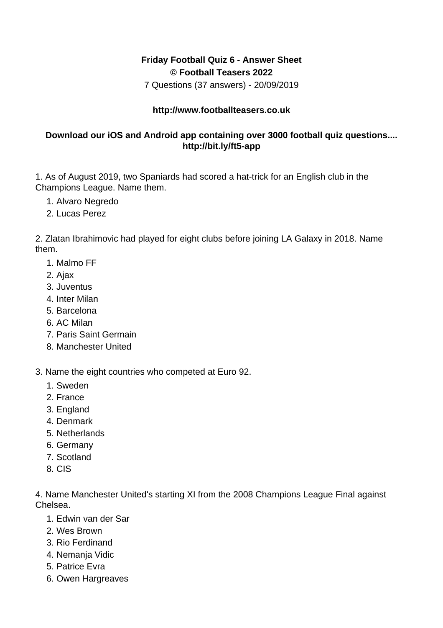## **Friday Football Quiz 6 - Answer Sheet © Football Teasers 2022**

7 Questions (37 answers) - 20/09/2019

## **http://www.footballteasers.co.uk**

## **Download our iOS and Android app containing over 3000 football quiz questions.... http://bit.ly/ft5-app**

1. As of August 2019, two Spaniards had scored a hat-trick for an English club in the Champions League. Name them.

- 1. Alvaro Negredo
- 2. Lucas Perez

2. Zlatan Ibrahimovic had played for eight clubs before joining LA Galaxy in 2018. Name them.

- 1. Malmo FF
- 2. Ajax
- 3. Juventus
- 4. Inter Milan
- 5. Barcelona
- 6. AC Milan
- 7. Paris Saint Germain
- 8. Manchester United

3. Name the eight countries who competed at Euro 92.

- 1. Sweden
- 2. France
- 3. England
- 4. Denmark
- 5. Netherlands
- 6. Germany
- 7. Scotland
- 8. CIS

4. Name Manchester United's starting XI from the 2008 Champions League Final against Chelsea.

- 1. Edwin van der Sar
- 2. Wes Brown
- 3. Rio Ferdinand
- 4. Nemanja Vidic
- 5. Patrice Evra
- 6. Owen Hargreaves